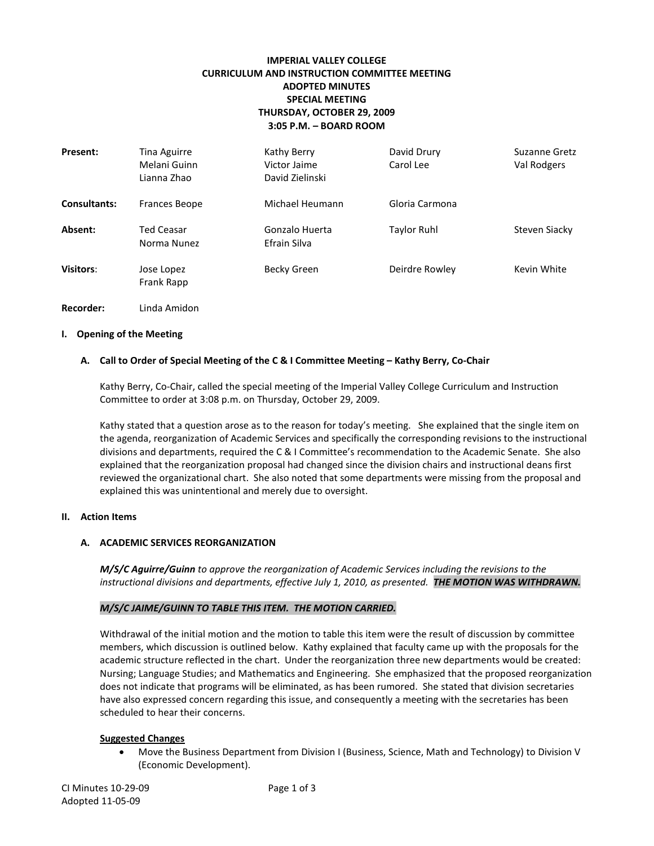# **IMPERIAL VALLEY COLLEGE CURRICULUM AND INSTRUCTION COMMITTEE MEETING ADOPTED MINUTES SPECIAL MEETING THURSDAY, OCTOBER 29, 2009 3:05 P.M. – BOARD ROOM**

| <b>Present:</b>     | Tina Aguirre<br>Melani Guinn<br>Lianna Zhao | Kathy Berry<br>Victor Jaime<br>David Zielinski | David Drury<br>Carol Lee | <b>Suzanne Gretz</b><br>Val Rodgers |
|---------------------|---------------------------------------------|------------------------------------------------|--------------------------|-------------------------------------|
| <b>Consultants:</b> | <b>Frances Beope</b>                        | Michael Heumann                                | Gloria Carmona           |                                     |
| Absent:             | <b>Ted Ceasar</b><br>Norma Nunez            | Gonzalo Huerta<br>Efrain Silva                 | <b>Taylor Ruhl</b>       | Steven Siacky                       |
| Visitors:           | Jose Lopez<br>Frank Rapp                    | Becky Green                                    | Deirdre Rowley           | Kevin White                         |
| Recorder:           | Linda Amidon                                |                                                |                          |                                     |

# **I. Opening of the Meeting**

# **A. Call to Order of Special Meeting of the C & I Committee Meeting – Kathy Berry, Co-Chair**

Kathy Berry, Co-Chair, called the special meeting of the Imperial Valley College Curriculum and Instruction Committee to order at 3:08 p.m. on Thursday, October 29, 2009.

Kathy stated that a question arose as to the reason for today's meeting. She explained that the single item on the agenda, reorganization of Academic Services and specifically the corresponding revisions to the instructional divisions and departments, required the C & I Committee's recommendation to the Academic Senate. She also explained that the reorganization proposal had changed since the division chairs and instructional deans first reviewed the organizational chart. She also noted that some departments were missing from the proposal and explained this was unintentional and merely due to oversight.

### **II. Action Items**

### **A. ACADEMIC SERVICES REORGANIZATION**

*M/S/C Aguirre/Guinn to approve the reorganization of Academic Services including the revisions to the instructional divisions and departments, effective July 1, 2010, as presented. THE MOTION WAS WITHDRAWN.* 

### *M/S/C JAIME/GUINN TO TABLE THIS ITEM. THE MOTION CARRIED.*

Withdrawal of the initial motion and the motion to table this item were the result of discussion by committee members, which discussion is outlined below. Kathy explained that faculty came up with the proposals for the academic structure reflected in the chart. Under the reorganization three new departments would be created: Nursing; Language Studies; and Mathematics and Engineering. She emphasized that the proposed reorganization does not indicate that programs will be eliminated, as has been rumored. She stated that division secretaries have also expressed concern regarding this issue, and consequently a meeting with the secretaries has been scheduled to hear their concerns.

#### **Suggested Changes**

• Move the Business Department from Division I (Business, Science, Math and Technology) to Division V (Economic Development).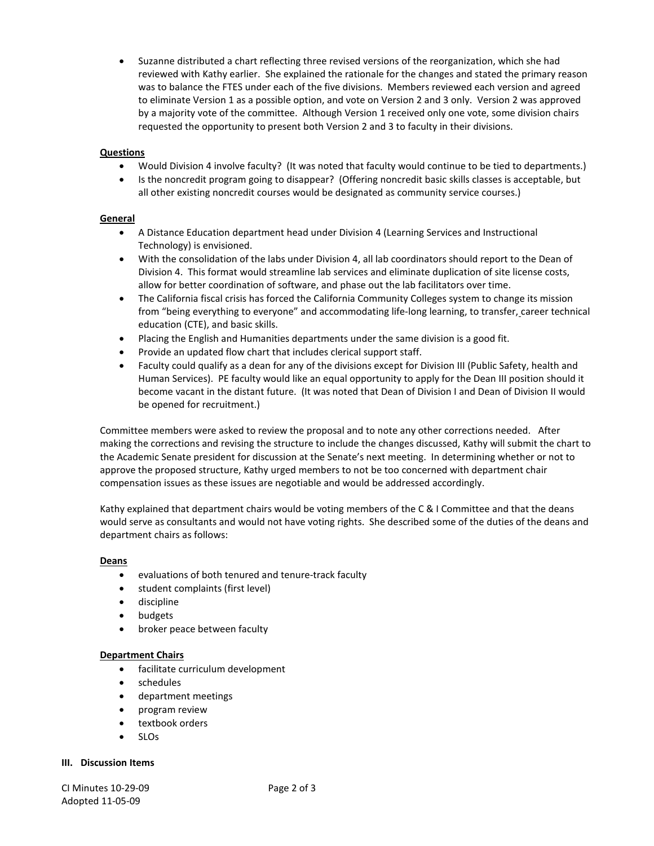• Suzanne distributed a chart reflecting three revised versions of the reorganization, which she had reviewed with Kathy earlier. She explained the rationale for the changes and stated the primary reason was to balance the FTES under each of the five divisions. Members reviewed each version and agreed to eliminate Version 1 as a possible option, and vote on Version 2 and 3 only. Version 2 was approved by a majority vote of the committee. Although Version 1 received only one vote, some division chairs requested the opportunity to present both Version 2 and 3 to faculty in their divisions.

# **Questions**

- Would Division 4 involve faculty? (It was noted that faculty would continue to be tied to departments.)
- Is the noncredit program going to disappear? (Offering noncredit basic skills classes is acceptable, but all other existing noncredit courses would be designated as community service courses.)

# **General**

- A Distance Education department head under Division 4 (Learning Services and Instructional Technology) is envisioned.
- With the consolidation of the labs under Division 4, all lab coordinators should report to the Dean of Division 4. This format would streamline lab services and eliminate duplication of site license costs, allow for better coordination of software, and phase out the lab facilitators over time.
- The California fiscal crisis has forced the California Community Colleges system to change its mission from "being everything to everyone" and accommodating life-long learning, to transfer, career technical education (CTE), and basic skills.
- Placing the English and Humanities departments under the same division is a good fit.
- Provide an updated flow chart that includes clerical support staff.
- Faculty could qualify as a dean for any of the divisions except for Division III (Public Safety, health and Human Services). PE faculty would like an equal opportunity to apply for the Dean III position should it become vacant in the distant future. (It was noted that Dean of Division I and Dean of Division II would be opened for recruitment.)

Committee members were asked to review the proposal and to note any other corrections needed. After making the corrections and revising the structure to include the changes discussed, Kathy will submit the chart to the Academic Senate president for discussion at the Senate's next meeting. In determining whether or not to approve the proposed structure, Kathy urged members to not be too concerned with department chair compensation issues as these issues are negotiable and would be addressed accordingly.

Kathy explained that department chairs would be voting members of the C & I Committee and that the deans would serve as consultants and would not have voting rights. She described some of the duties of the deans and department chairs as follows:

### **Deans**

- evaluations of both tenured and tenure-track faculty
- student complaints (first level)
- discipline
- budgets
- broker peace between faculty

### **Department Chairs**

- facilitate curriculum development
- schedules
- department meetings
- program review
- textbook orders
- SLOs

### **III. Discussion Items**

CI Minutes 10-29-09 Page 2 of 3 Adopted 11-05-09